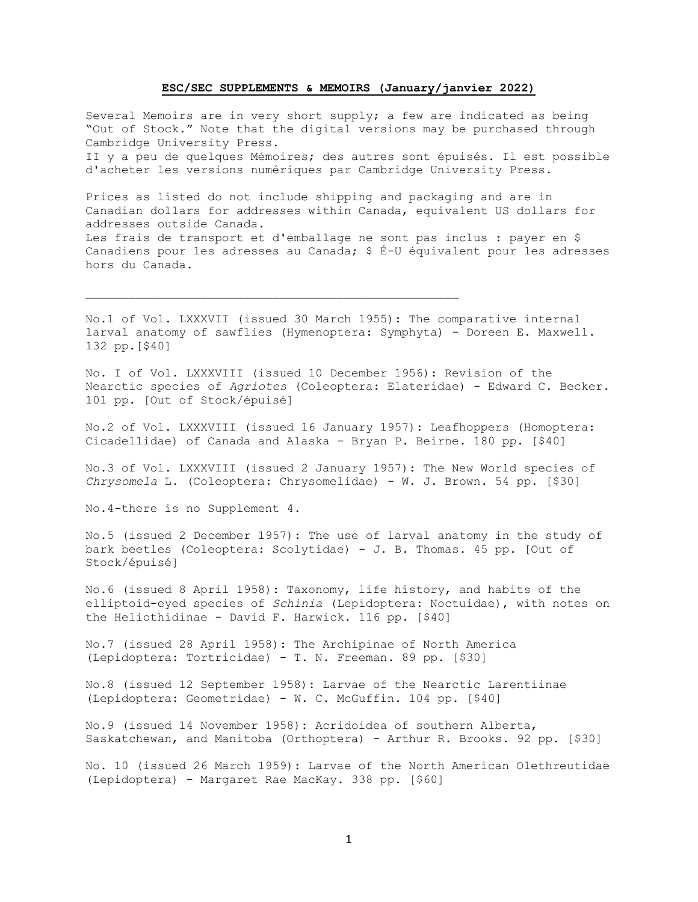## **ESC/SEC SUPPLEMENTS & MEMOIRS (January/janvier 2022)**

Several Memoirs are in very short supply; a few are indicated as being "Out of Stock." Note that the digital versions may be purchased through Cambridge University Press. II y a peu de quelques Mémoires; des autres sont épuisés. Il est possible d'acheter les versions numériques par Cambridge University Press.

Prices as listed do not include shipping and packaging and are in Canadian dollars for addresses within Canada, equivalent US dollars for addresses outside Canada. Les frais de transport et d'emballage ne sont pas inclus : payer en \$ Canadiens pour les adresses au Canada; \$ É-U équivalent pour les adresses hors du Canada.

No.1 of Vol. LXXXVII (issued 30 March 1955): The comparative internal larval anatomy of sawflies (Hymenoptera: Symphyta) - Doreen E. Maxwell. 132 pp.[\$40]

No. I of Vol. LXXXVIII (issued 10 December 1956): Revision of the Nearctic species of *Agriotes* (Coleoptera: Elateridae) - Edward C. Becker. 101 pp. [Out of Stock/épuisé]

No.2 of Vol. LXXXVIII (issued 16 January 1957): Leafhoppers (Homoptera: Cicadellidae) of Canada and Alaska - Bryan P. Beirne. 180 pp. [\$40]

No.3 of Vol. LXXXVIII (issued 2 January 1957): The New World species of *Chrysomela* L. (Coleoptera: Chrysomelidae) - W. J. Brown. 54 pp. [\$30]

No.4-there is no Supplement 4.

No.5 (issued 2 December 1957): The use of larval anatomy in the study of bark beetles (Coleoptera: Scolytidae) - J. B. Thomas. 45 pp. [Out of Stock/épuisé]

No.6 (issued 8 April 1958): Taxonomy, life history, and habits of the elliptoid-eyed species of *Schinia* (Lepidoptera: Noctuidae), with notes on the Heliothidinae - David F. Harwick. 116 pp. [\$40]

No.7 (issued 28 April 1958): The Archipinae of North America (Lepidoptera: Tortricidae) - T. N. Freeman. 89 pp. [\$30]

No.8 (issued 12 September 1958): Larvae of the Nearctic Larentiinae (Lepidoptera: Geometridae) - W. C. McGuffin. 104 pp. [\$40]

No.9 (issued 14 November 1958): Acridoidea of southern Alberta, Saskatchewan, and Manitoba (Orthoptera) - Arthur R. Brooks. 92 pp. [\$30]

No. 10 (issued 26 March 1959): Larvae of the North American Olethreutidae (Lepidoptera) - Margaret Rae MacKay. 338 pp. [\$60]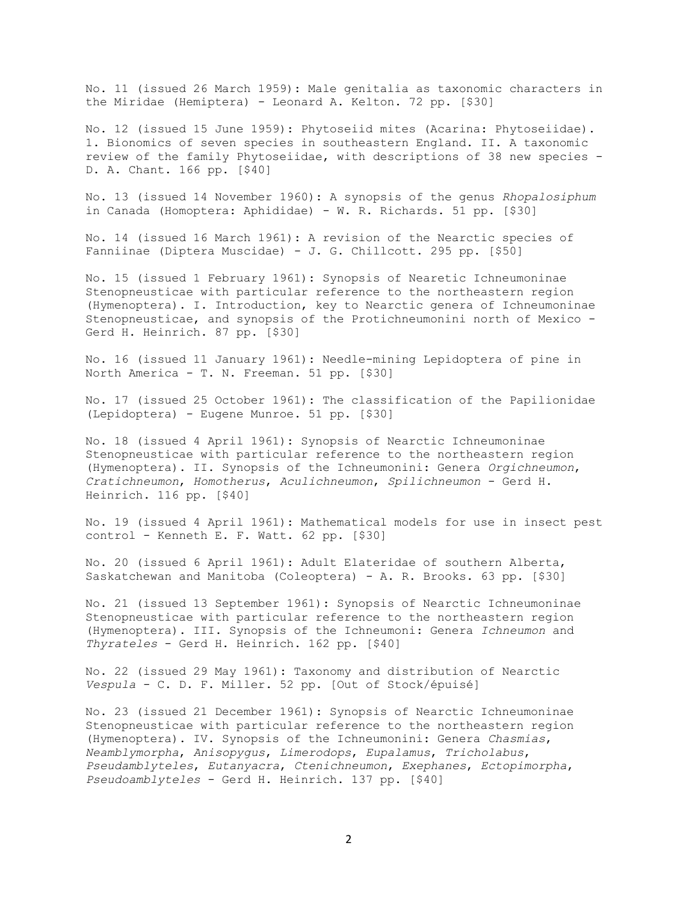No. 11 (issued 26 March 1959): Male genitalia as taxonomic characters in the Miridae (Hemiptera) - Leonard A. Kelton. 72 pp. [\$30]

No. 12 (issued 15 June 1959): Phytoseiid mites (Acarina: Phytoseiidae). 1. Bionomics of seven species in southeastern England. II. A taxonomic review of the family Phytoseiidae, with descriptions of 38 new species - D. A. Chant. 166 pp. [\$40]

No. 13 (issued 14 November 1960): A synopsis of the genus *Rhopalosiphum* in Canada (Homoptera: Aphididae) - W. R. Richards. 51 pp. [\$30]

No. 14 (issued 16 March 1961): A revision of the Nearctic species of Fanniinae (Diptera Muscidae) - J. G. Chillcott. 295 pp. [\$50]

No. 15 (issued 1 February 1961): Synopsis of Nearetic Ichneumoninae Stenopneusticae with particular reference to the northeastern region (Hymenoptera). I. Introduction, key to Nearctic genera of Ichneumoninae Stenopneusticae, and synopsis of the Protichneumonini north of Mexico - Gerd H. Heinrich. 87 pp. [\$30]

No. 16 (issued 11 January 1961): Needle-mining Lepidoptera of pine in North America - T. N. Freeman. 51 pp. [\$30]

No. 17 (issued 25 October 1961): The classification of the Papilionidae (Lepidoptera) - Eugene Munroe. 51 pp. [\$30]

No. 18 (issued 4 April 1961): Synopsis of Nearctic Ichneumoninae Stenopneusticae with particular reference to the northeastern region (Hymenoptera). II. Synopsis of the Ichneumonini: Genera *Orgichneumon*, *Cratichneumon*, *Homotherus*, *Aculichneumon*, *Spilichneumon* - Gerd H. Heinrich. 116 pp. [\$40]

No. 19 (issued 4 April 1961): Mathematical models for use in insect pest control - Kenneth E. F. Watt. 62 pp. [\$30]

No. 20 (issued 6 April 1961): Adult Elateridae of southern Alberta, Saskatchewan and Manitoba (Coleoptera) - A. R. Brooks. 63 pp. [\$30]

No. 21 (issued 13 September 1961): Synopsis of Nearctic Ichneumoninae Stenopneusticae with particular reference to the northeastern region (Hymenoptera). III. Synopsis of the Ichneumoni: Genera *Ichneumon* and *Thyrateles* - Gerd H. Heinrich. 162 pp. [\$40]

No. 22 (issued 29 May 1961): Taxonomy and distribution of Nearctic *Vespula* - C. D. F. Miller. 52 pp. [Out of Stock/épuisé]

No. 23 (issued 21 December 1961): Synopsis of Nearctic Ichneumoninae Stenopneusticae with particular reference to the northeastern region (Hymenoptera). IV. Synopsis of the Ichneumonini: Genera *Chasmias*, *Neamblymorpha*, *Anisopygus*, *Limerodops*, *Eupalamus*, *Tricholabus*, *Pseudamblyteles*, *Eutanyacra*, *Ctenichneumon*, *Exephanes*, *Ectopimorpha*, *Pseudoamblyteles* - Gerd H. Heinrich. 137 pp. [\$40]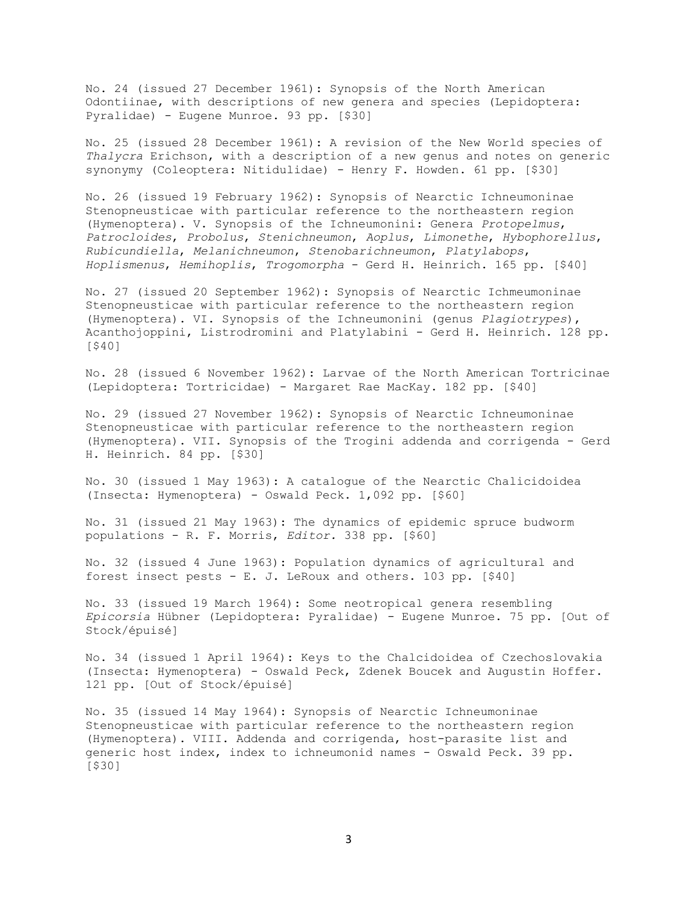No. 24 (issued 27 December 1961): Synopsis of the North American Odontiinae, with descriptions of new genera and species (Lepidoptera: Pyralidae) - Eugene Munroe. 93 pp. [\$30]

No. 25 (issued 28 December 1961): A revision of the New World species of *Thalycra* Erichson, with a description of a new genus and notes on generic synonymy (Coleoptera: Nitidulidae) - Henry F. Howden. 61 pp. [\$30]

No. 26 (issued 19 February 1962): Synopsis of Nearctic Ichneumoninae Stenopneusticae with particular reference to the northeastern region (Hymenoptera). V. Synopsis of the Ichneumonini: Genera *Protopelmus*, *Patrocloides*, *Probolus*, *Stenichneumon*, *Aoplus*, *Limonethe*, *Hybophorellus*, *Rubicundiella*, *Melanichneumon*, *Stenobarichneumon*, *Platylabops*, *Hoplismenus*, *Hemihoplis*, *Trogomorpha* - Gerd H. Heinrich. 165 pp. [\$40]

No. 27 (issued 20 September 1962): Synopsis of Nearctic Ichmeumoninae Stenopneusticae with particular reference to the northeastern region (Hymenoptera). VI. Synopsis of the Ichneumonini (genus *Plagiotrypes*), Acanthojoppini, Listrodromini and Platylabini - Gerd H. Heinrich. 128 pp. [\$40]

No. 28 (issued 6 November 1962): Larvae of the North American Tortricinae (Lepidoptera: Tortricidae) - Margaret Rae MacKay. 182 pp. [\$40]

No. 29 (issued 27 November 1962): Synopsis of Nearctic Ichneumoninae Stenopneusticae with particular reference to the northeastern region (Hymenoptera). VII. Synopsis of the Trogini addenda and corrigenda - Gerd H. Heinrich. 84 pp. [\$30]

No. 30 (issued 1 May 1963): A catalogue of the Nearctic Chalicidoidea (Insecta: Hymenoptera) - Oswald Peck. 1,092 pp. [\$60]

No. 31 (issued 21 May 1963): The dynamics of epidemic spruce budworm populations - R. F. Morris, *Editor.* 338 pp. [\$60]

No. 32 (issued 4 June 1963): Population dynamics of agricultural and forest insect pests - E. J. LeRoux and others. 103 pp. [\$40]

No. 33 (issued 19 March 1964): Some neotropical genera resembling *Epicorsia* Hübner (Lepidoptera: Pyralidae) - Eugene Munroe. 75 pp. [Out of Stock/épuisé]

No. 34 (issued 1 April 1964): Keys to the Chalcidoidea of Czechoslovakia (Insecta: Hymenoptera) - Oswald Peck, Zdenek Boucek and Augustin Hoffer. 121 pp. [Out of Stock/épuisé]

No. 35 (issued 14 May 1964): Synopsis of Nearctic Ichneumoninae Stenopneusticae with particular reference to the northeastern region (Hymenoptera). VIII. Addenda and corrigenda, host-parasite list and generic host index, index to ichneumonid names - Oswald Peck. 39 pp. [\$30]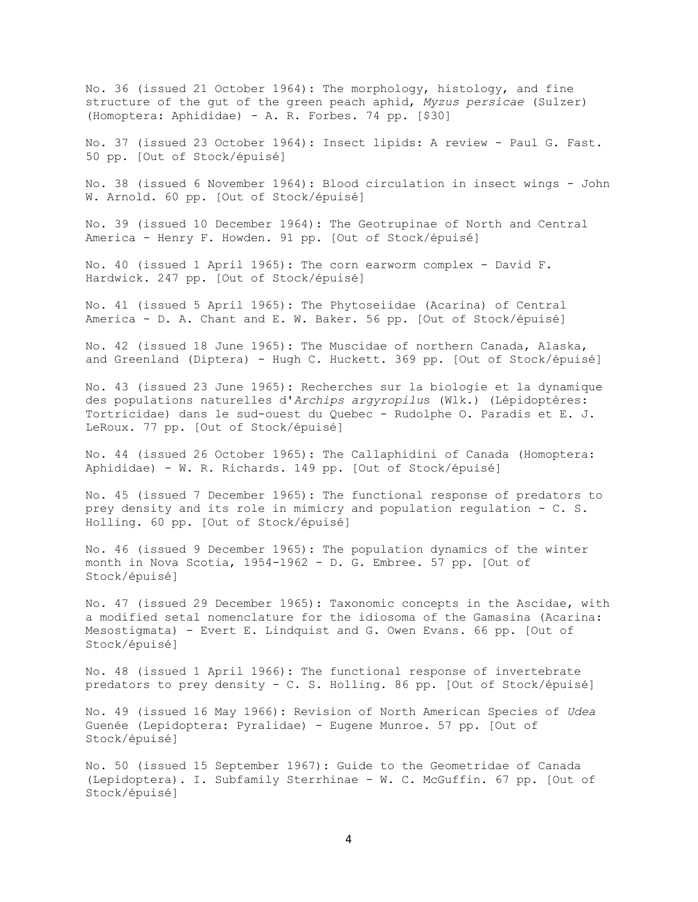No. 36 (issued 21 October 1964): The morphology, histology, and fine structure of the gut of the green peach aphid, *Myzus persicae* (Sulzer) (Homoptera: Aphididae) - A. R. Forbes. 74 pp. [\$30]

No. 37 (issued 23 October 1964): Insect lipids: A review - Paul G. Fast. 50 pp. [Out of Stock/épuisé]

No. 38 (issued 6 November 1964): Blood circulation in insect wings - John W. Arnold. 60 pp. [Out of Stock/épuisé]

No. 39 (issued 10 December 1964): The Geotrupinae of North and Central America - Henry F. Howden. 91 pp. [Out of Stock/épuisé]

No. 40 (issued 1 April 1965): The corn earworm complex - David F. Hardwick. 247 pp. [Out of Stock/épuisé]

No. 41 (issued 5 April 1965): The Phytoseiidae (Acarina) of Central America - D. A. Chant and E. W. Baker. 56 pp. [Out of Stock/épuisé]

No. 42 (issued 18 June 1965): The Muscidae of northern Canada, Alaska, and Greenland (Diptera) - Hugh C. Huckett. 369 pp. [Out of Stock/épuisé]

No. 43 (issued 23 June 1965): Recherches sur la biologie et la dynamique des populations naturelles d'*Archips argyropilu*s (Wlk.) (Lépidoptères: Tortricidae) dans le sud-ouest du Quebec - Rudolphe O. Paradis et E. J. LeRoux. 77 pp. [Out of Stock/épuisé]

No. 44 (issued 26 October 1965): The Callaphidini of Canada (Homoptera: Aphididae) - W. R. Richards. 149 pp. [Out of Stock/épuisé]

No. 45 (issued 7 December 1965): The functional response of predators to prey density and its role in mimicry and population regulation - C. S. Holling. 60 pp. [Out of Stock/épuisé]

No. 46 (issued 9 December 1965): The population dynamics of the winter month in Nova Scotia, 1954-1962 - D. G. Embree. 57 pp. [Out of Stock/épuisé]

No. 47 (issued 29 December 1965): Taxonomic concepts in the Ascidae, with a modified setal nomenclature for the idiosoma of the Gamasina (Acarina: Mesostigmata) - Evert E. Lindquist and G. Owen Evans. 66 pp. [Out of Stock/épuisé]

No. 48 (issued 1 April 1966): The functional response of invertebrate predators to prey density - C. S. Holling. 86 pp. [Out of Stock/épuisé]

No. 49 (issued 16 May 1966): Revision of North American Species of *Udea* Guenée (Lepidoptera: Pyralidae) - Eugene Munroe. 57 pp. [Out of Stock/épuisé]

No. 50 (issued 15 September 1967): Guide to the Geometridae of Canada (Lepidoptera). I. Subfamily Sterrhinae - W. C. McGuffin. 67 pp. [Out of Stock/épuisé]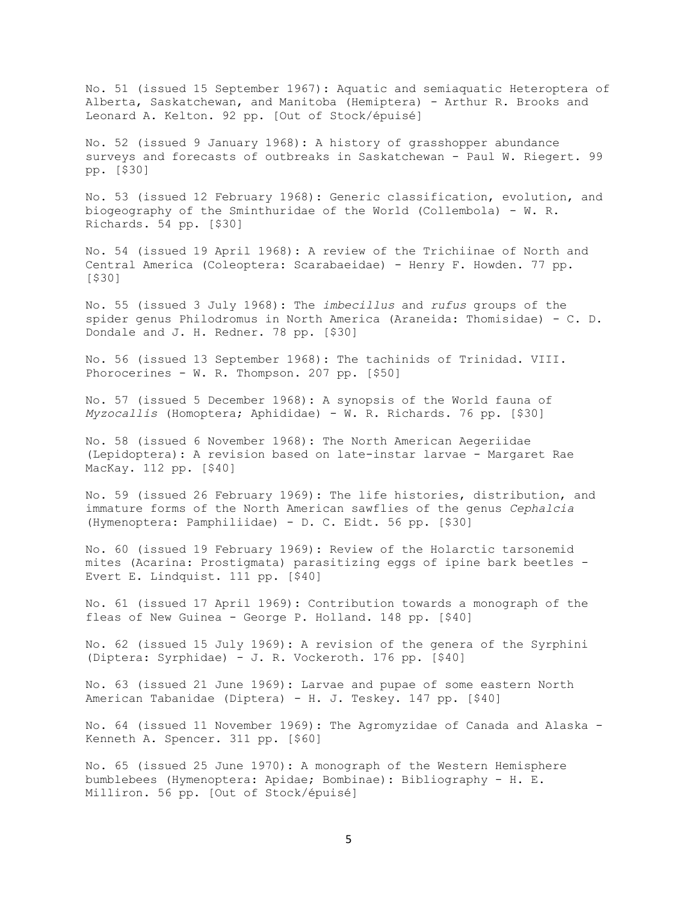No. 51 (issued 15 September 1967): Aquatic and semiaquatic Heteroptera of Alberta, Saskatchewan, and Manitoba (Hemiptera) - Arthur R. Brooks and Leonard A. Kelton. 92 pp. [Out of Stock/épuisé]

No. 52 (issued 9 January 1968): A history of grasshopper abundance surveys and forecasts of outbreaks in Saskatchewan - Paul W. Riegert. 99 pp. [\$30]

No. 53 (issued 12 February 1968): Generic classification, evolution, and biogeography of the Sminthuridae of the World (Collembola) - W. R. Richards. 54 pp. [\$30]

No. 54 (issued 19 April 1968): A review of the Trichiinae of North and Central America (Coleoptera: Scarabaeidae) - Henry F. Howden. 77 pp. [\$30]

No. 55 (issued 3 July 1968): The *imbecillus* and *rufus* groups of the spider genus Philodromus in North America (Araneida: Thomisidae) - C. D. Dondale and J. H. Redner. 78 pp. [\$30]

No. 56 (issued 13 September 1968): The tachinids of Trinidad. VIII. Phorocerines - W. R. Thompson. 207 pp. [\$50]

No. 57 (issued 5 December 1968): A synopsis of the World fauna of *Myzocallis* (Homoptera; Aphididae) - W. R. Richards. 76 pp. [\$30]

No. 58 (issued 6 November 1968): The North American Aegeriidae (Lepidoptera): A revision based on late-instar larvae - Margaret Rae MacKay. 112 pp. [\$40]

No. 59 (issued 26 February 1969): The life histories, distribution, and immature forms of the North American sawflies of the genus *Cephalcia* (Hymenoptera: Pamphiliidae) - D. C. Eidt. 56 pp. [\$30]

No. 60 (issued 19 February 1969): Review of the Holarctic tarsonemid mites (Acarina: Prostigmata) parasitizing eggs of ipine bark beetles - Evert E. Lindquist. 111 pp. [\$40]

No. 61 (issued 17 April 1969): Contribution towards a monograph of the fleas of New Guinea - George P. Holland. 148 pp. [\$40]

No. 62 (issued 15 July 1969): A revision of the genera of the Syrphini (Diptera: Syrphidae) - J. R. Vockeroth. 176 pp. [\$40]

No. 63 (issued 21 June 1969): Larvae and pupae of some eastern North American Tabanidae (Diptera) - H. J. Teskey. 147 pp. [\$40]

No. 64 (issued 11 November 1969): The Agromyzidae of Canada and Alaska - Kenneth A. Spencer. 311 pp. [\$60]

No. 65 (issued 25 June 1970): A monograph of the Western Hemisphere bumblebees (Hymenoptera: Apidae; Bombinae): Bibliography - H. E. Milliron. 56 pp. [Out of Stock/épuisé]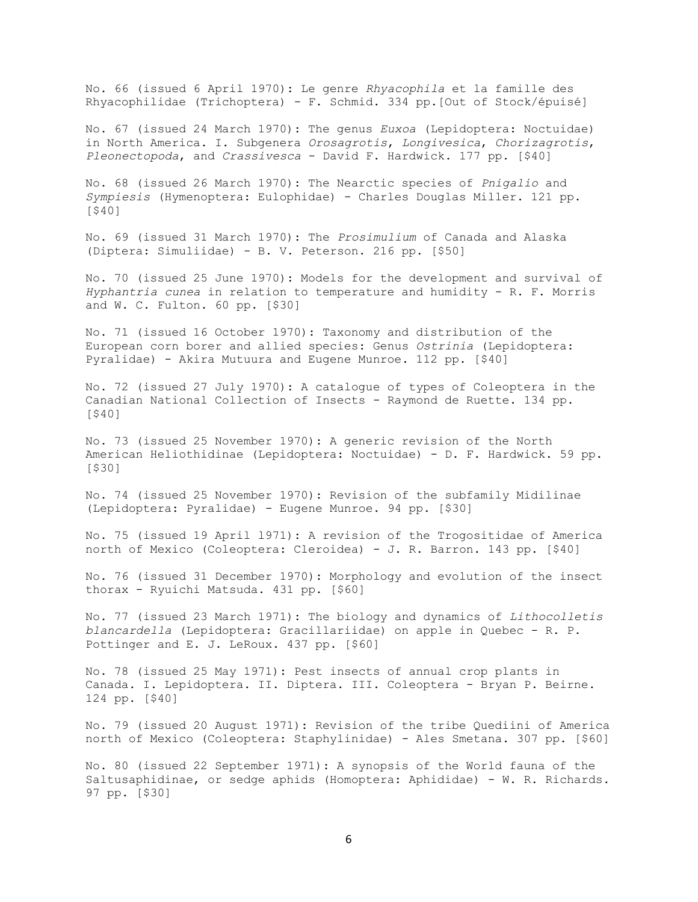No. 66 (issued 6 April 1970): Le genre *Rhyacophila* et la famille des Rhyacophilidae (Trichoptera) - F. Schmid. 334 pp.[Out of Stock/épuisé]

No. 67 (issued 24 March 1970): The genus *Euxoa* (Lepidoptera: Noctuidae) in North America. I. Subgenera *Orosagrotis*, *Longivesica*, *Chorizagrotis*, *Pleonectopoda*, and *Crassivesca* - David F. Hardwick. 177 pp. [\$40]

No. 68 (issued 26 March 1970): The Nearctic species of *Pnigalio* and *Sympiesis* (Hymenoptera: Eulophidae) - Charles Douglas Miller. 121 pp. [\$40]

No. 69 (issued 31 March 1970): The *Prosimulium* of Canada and Alaska (Diptera: Simuliidae) - B. V. Peterson. 216 pp. [\$50]

No. 70 (issued 25 June 1970): Models for the development and survival of *Hyphantria cunea* in relation to temperature and humidity - R. F. Morris and W. C. Fulton. 60 pp. [\$30]

No. 71 (issued 16 October 1970): Taxonomy and distribution of the European corn borer and allied species: Genus *Ostrinia* (Lepidoptera: Pyralidae) - Akira Mutuura and Eugene Munroe. 112 pp. [\$40]

No. 72 (issued 27 July 1970): A catalogue of types of Coleoptera in the Canadian National Collection of Insects - Raymond de Ruette. 134 pp. [\$40]

No. 73 (issued 25 November 1970): A generic revision of the North American Heliothidinae (Lepidoptera: Noctuidae) - D. F. Hardwick. 59 pp. [\$30]

No. 74 (issued 25 November 1970): Revision of the subfamily Midilinae (Lepidoptera: Pyralidae) - Eugene Munroe. 94 pp. [\$30]

No. 75 (issued 19 April l971): A revision of the Trogositidae of America north of Mexico (Coleoptera: Cleroidea) - J. R. Barron. 143 pp. [\$40]

No. 76 (issued 31 December 1970): Morphology and evolution of the insect thorax - Ryuichi Matsuda. 431 pp. [\$60]

No. 77 (issued 23 March 1971): The biology and dynamics of *Lithocolletis blancardella* (Lepidoptera: Gracillariidae) on apple in Quebec - R. P. Pottinger and E. J. LeRoux. 437 pp. [\$60]

No. 78 (issued 25 May 1971): Pest insects of annual crop plants in Canada. I. Lepidoptera. II. Diptera. III. Coleoptera - Bryan P. Beirne. 124 pp. [\$40]

No. 79 (issued 20 August 1971): Revision of the tribe Quediini of America north of Mexico (Coleoptera: Staphylinidae) - Ales Smetana. 307 pp. [\$60]

No. 80 (issued 22 September 1971): A synopsis of the World fauna of the Saltusaphidinae, or sedge aphids (Homoptera: Aphididae) - W. R. Richards. 97 pp. [\$30]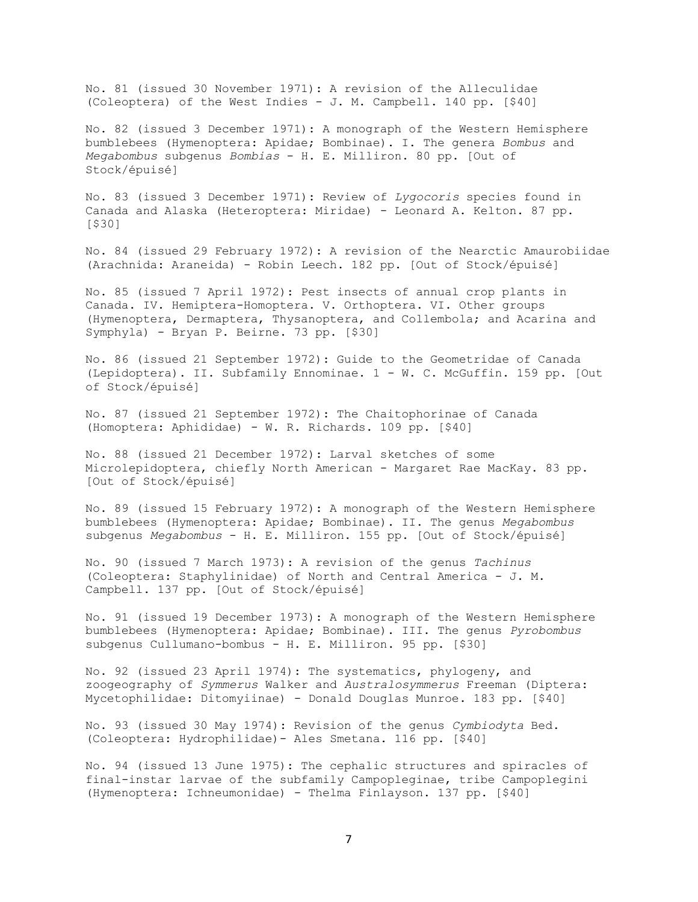No. 81 (issued 30 November 1971): A revision of the Alleculidae (Coleoptera) of the West Indies - J. M. Campbell. 140 pp. [\$40]

No. 82 (issued 3 December 1971): A monograph of the Western Hemisphere bumblebees (Hymenoptera: Apidae; Bombinae). I. The genera *Bombus* and *Megabombus* subgenus *Bombias* - H. E. Milliron. 80 pp. [Out of Stock/épuisé]

No. 83 (issued 3 December 1971): Review of *Lygocoris* species found in Canada and Alaska (Heteroptera: Miridae) - Leonard A. Kelton. 87 pp. [\$30]

No. 84 (issued 29 February 1972): A revision of the Nearctic Amaurobiidae (Arachnida: Araneida) - Robin Leech. 182 pp. [Out of Stock/épuisé]

No. 85 (issued 7 April 1972): Pest insects of annual crop plants in Canada. IV. Hemiptera-Homoptera. V. Orthoptera. VI. Other groups (Hymenoptera, Dermaptera, Thysanoptera, and Collembola; and Acarina and Symphyla) - Bryan P. Beirne. 73 pp. [\$30]

No. 86 (issued 21 September 1972): Guide to the Geometridae of Canada (Lepidoptera). II. Subfamily Ennominae. 1 - W. C. McGuffin. 159 pp. [Out of Stock/épuisé]

No. 87 (issued 21 September 1972): The Chaitophorinae of Canada (Homoptera: Aphididae) - W. R. Richards. 109 pp. [\$40]

No. 88 (issued 21 December 1972): Larval sketches of some Microlepidoptera, chiefly North American - Margaret Rae MacKay. 83 pp. [Out of Stock/épuisé]

No. 89 (issued 15 February 1972): A monograph of the Western Hemisphere bumblebees (Hymenoptera: Apidae; Bombinae). II. The genus *Megabombus* subgenus *Megabombus* - H. E. Milliron. 155 pp. [Out of Stock/épuisé]

No. 90 (issued 7 March 1973): A revision of the genus *Tachinus* (Coleoptera: Staphylinidae) of North and Central America - J. M. Campbell. 137 pp. [Out of Stock/épuisé]

No. 91 (issued 19 December 1973): A monograph of the Western Hemisphere bumblebees (Hymenoptera: Apidae; Bombinae). III. The genus *Pyrobombus* subgenus Cullumano-bombus - H. E. Milliron. 95 pp. [\$30]

No. 92 (issued 23 April 1974): The systematics, phylogeny, and zoogeography of *Symmerus* Walker and *Australosymmerus* Freeman (Diptera: Mycetophilidae: Ditomyiinae) - Donald Douglas Munroe. 183 pp. [\$40]

No. 93 (issued 30 May 1974): Revision of the genus *Cymbiodyta* Bed. (Coleoptera: Hydrophilidae)- Ales Smetana. 116 pp. [\$40]

No. 94 (issued 13 June 1975): The cephalic structures and spiracles of final-instar larvae of the subfamily Campopleginae, tribe Campoplegini (Hymenoptera: Ichneumonidae) - Thelma Finlayson. 137 pp. [\$40]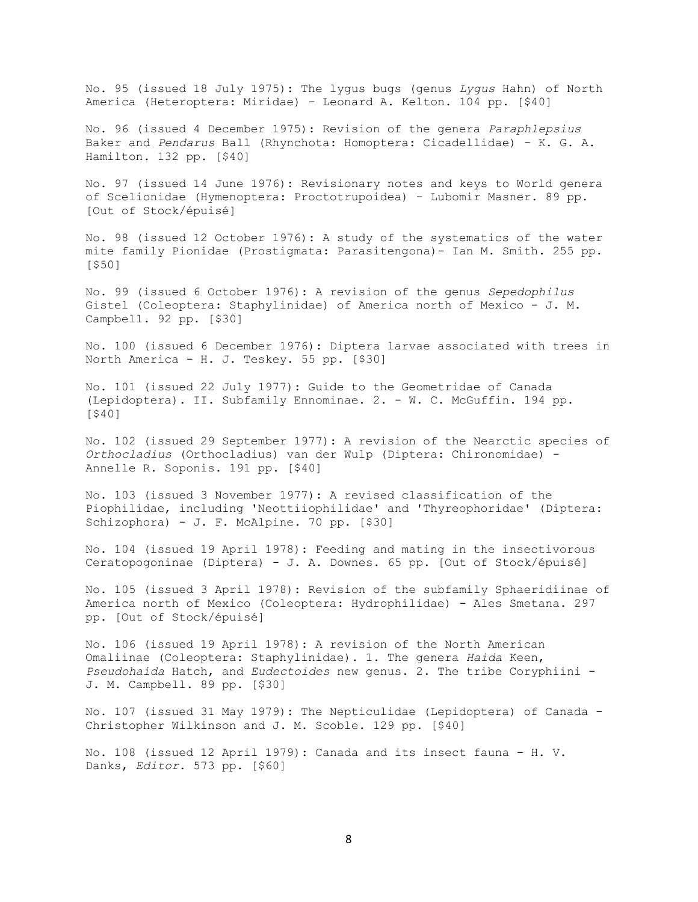No. 95 (issued 18 July 1975): The lygus bugs (genus *Lygus* Hahn) of North America (Heteroptera: Miridae) - Leonard A. Kelton. 104 pp. [\$40]

No. 96 (issued 4 December 1975): Revision of the genera *Paraphlepsius* Baker and *Pendarus* Ball (Rhynchota: Homoptera: Cicadellidae) - K. G. A. Hamilton. 132 pp. [\$40]

No. 97 (issued 14 June 1976): Revisionary notes and keys to World genera of Scelionidae (Hymenoptera: Proctotrupoidea) - Lubomir Masner. 89 pp. [Out of Stock/épuisé]

No. 98 (issued 12 October 1976): A study of the systematics of the water mite family Pionidae (Prostigmata: Parasitengona)- Ian M. Smith. 255 pp. [\$50]

No. 99 (issued 6 October 1976): A revision of the genus *Sepedophilus* Gistel (Coleoptera: Staphylinidae) of America north of Mexico - J. M. Campbell. 92 pp. [\$30]

No. 100 (issued 6 December 1976): Diptera larvae associated with trees in North America - H. J. Teskey. 55 pp. [\$30]

No. 101 (issued 22 July 1977): Guide to the Geometridae of Canada (Lepidoptera). II. Subfamily Ennominae. 2. - W. C. McGuffin. 194 pp. [\$40]

No. 102 (issued 29 September 1977): A revision of the Nearctic species of *Orthocladius* (Orthocladius) van der Wulp (Diptera: Chironomidae) - Annelle R. Soponis. 191 pp. [\$40]

No. 103 (issued 3 November 1977): A revised classification of the Piophilidae, including 'Neottiiophilidae' and 'Thyreophoridae' (Diptera: Schizophora) - J. F. McAlpine. 70 pp. [\$30]

No. 104 (issued 19 April 1978): Feeding and mating in the insectivorous Ceratopogoninae (Diptera) - J. A. Downes. 65 pp. [Out of Stock/épuisé]

No. 105 (issued 3 April 1978): Revision of the subfamily Sphaeridiinae of America north of Mexico (Coleoptera: Hydrophilidae) - Ales Smetana. 297 pp. [Out of Stock/épuisé]

No. 106 (issued 19 April 1978): A revision of the North American Omaliinae (Coleoptera: Staphylinidae). 1. The genera *Haida* Keen, *Pseudohaida* Hatch, and *Eudectoides* new genus. 2. The tribe Coryphiini - J. M. Campbell. 89 pp. [\$30]

No. 107 (issued 31 May 1979): The Nepticulidae (Lepidoptera) of Canada - Christopher Wilkinson and J. M. Scoble. 129 pp. [\$40]

No. 108 (issued 12 April 1979): Canada and its insect fauna - H. V. Danks, *Editor*. 573 pp. [\$60]

8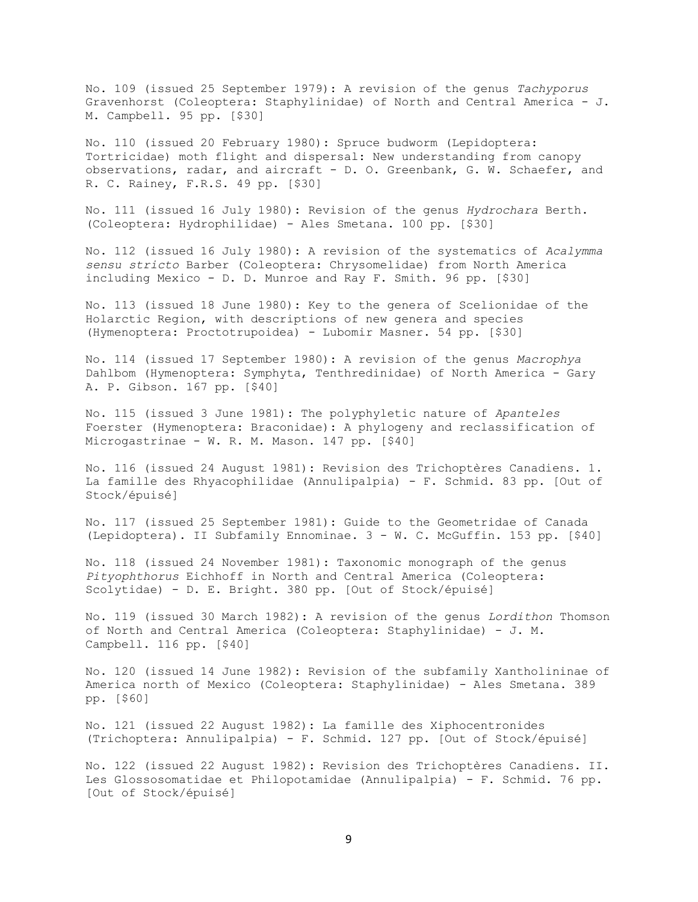No. 109 (issued 25 September 1979): A revision of the genus *Tachyporus* Gravenhorst (Coleoptera: Staphylinidae) of North and Central America - J. M. Campbell. 95 pp. [\$30]

No. 110 (issued 20 February 1980): Spruce budworm (Lepidoptera: Tortricidae) moth flight and dispersal: New understanding from canopy observations, radar, and aircraft - D. O. Greenbank, G. W. Schaefer, and R. C. Rainey, F.R.S. 49 pp. [\$30]

No. 111 (issued 16 July 1980): Revision of the genus *Hydrochara* Berth. (Coleoptera: Hydrophilidae) - Ales Smetana. 100 pp. [\$30]

No. 112 (issued 16 July 1980): A revision of the systematics of *Acalymma sensu stricto* Barber (Coleoptera: Chrysomelidae) from North America including Mexico - D. D. Munroe and Ray F. Smith. 96 pp. [\$30]

No. 113 (issued 18 June 1980): Key to the genera of Scelionidae of the Holarctic Region, with descriptions of new genera and species (Hymenoptera: Proctotrupoidea) - Lubomir Masner. 54 pp. [\$30]

No. 114 (issued 17 September 1980): A revision of the genus *Macrophya* Dahlbom (Hymenoptera: Symphyta, Tenthredinidae) of North America - Gary A. P. Gibson. 167 pp. [\$40]

No. 115 (issued 3 June 1981): The polyphyletic nature of *Apanteles* Foerster (Hymenoptera: Braconidae): A phylogeny and reclassification of Microgastrinae - W. R. M. Mason. 147 pp. [\$40]

No. 116 (issued 24 August 1981): Revision des Trichoptères Canadiens. 1. La famille des Rhyacophilidae (Annulipalpia) - F. Schmid. 83 pp. [Out of Stock/épuisé]

No. 117 (issued 25 September 1981): Guide to the Geometridae of Canada (Lepidoptera). II Subfamily Ennominae. 3 - W. C. McGuffin. 153 pp. [\$40]

No. 118 (issued 24 November 1981): Taxonomic monograph of the genus *Pityophthorus* Eichhoff in North and Central America (Coleoptera: Scolytidae) - D. E. Bright. 380 pp. [Out of Stock/épuisé]

No. 119 (issued 30 March 1982): A revision of the genus *Lordithon* Thomson of North and Central America (Coleoptera: Staphylinidae) - J. M. Campbell. 116 pp. [\$40]

No. 120 (issued 14 June 1982): Revision of the subfamily Xantholininae of America north of Mexico (Coleoptera: Staphylinidae) - Ales Smetana. 389 pp. [\$60]

No. 121 (issued 22 August 1982): La famille des Xiphocentronides (Trichoptera: Annulipalpia) - F. Schmid. 127 pp. [Out of Stock/épuisé]

No. 122 (issued 22 August 1982): Revision des Trichoptères Canadiens. II. Les Glossosomatidae et Philopotamidae (Annulipalpia) - F. Schmid. 76 pp. [Out of Stock/épuisé]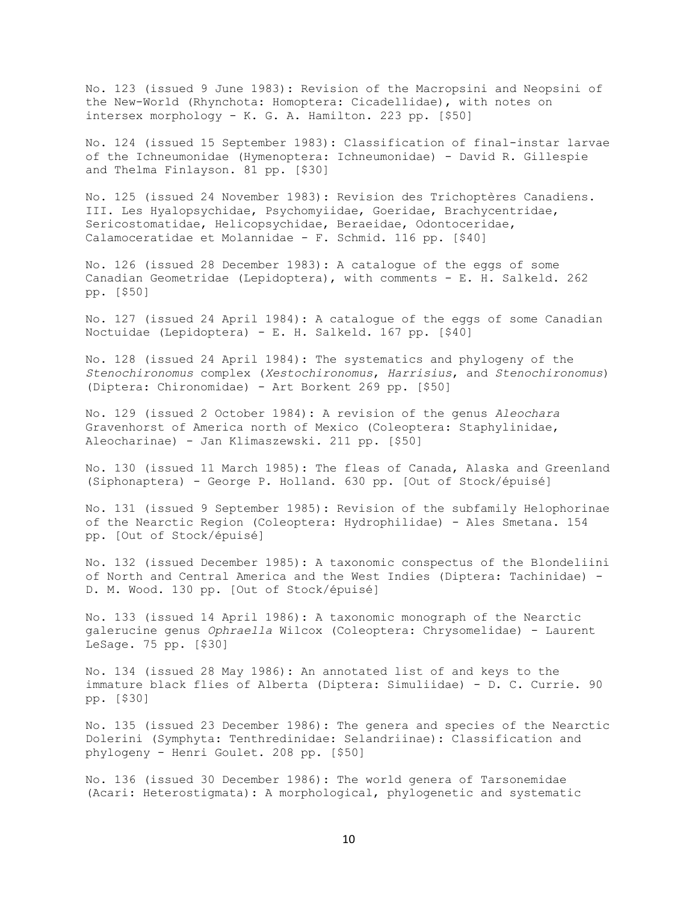No. 123 (issued 9 June 1983): Revision of the Macropsini and Neopsini of the New-World (Rhynchota: Homoptera: Cicadellidae), with notes on intersex morphology - K. G. A. Hamilton. 223 pp. [\$50]

No. 124 (issued 15 September 1983): Classification of final-instar larvae of the Ichneumonidae (Hymenoptera: Ichneumonidae) - David R. Gillespie and Thelma Finlayson. 81 pp. [\$30]

No. 125 (issued 24 November 1983): Revision des Trichoptères Canadiens. III. Les Hyalopsychidae, Psychomyiidae, Goeridae, Brachycentridae, Sericostomatidae, Helicopsychidae, Beraeidae, Odontoceridae, Calamoceratidae et Molannidae - F. Schmid. 116 pp. [\$40]

No. 126 (issued 28 December 1983): A catalogue of the eggs of some Canadian Geometridae (Lepidoptera), with comments - E. H. Salkeld. 262 pp. [\$50]

No. 127 (issued 24 April 1984): A catalogue of the eggs of some Canadian Noctuidae (Lepidoptera) - E. H. Salkeld. 167 pp. [\$40]

No. 128 (issued 24 April 1984): The systematics and phylogeny of the *Stenochironomus* complex (*Xestochironomus*, *Harrisius*, and *Stenochironomus*) (Diptera: Chironomidae) - Art Borkent 269 pp. [\$50]

No. 129 (issued 2 October 1984): A revision of the genus *Aleochara* Gravenhorst of America north of Mexico (Coleoptera: Staphylinidae, Aleocharinae) - Jan Klimaszewski. 211 pp. [\$50]

No. 130 (issued 11 March 1985): The fleas of Canada, Alaska and Greenland (Siphonaptera) - George P. Holland. 630 pp. [Out of Stock/épuisé]

No. 131 (issued 9 September 1985): Revision of the subfamily Helophorinae of the Nearctic Region (Coleoptera: Hydrophilidae) - Ales Smetana. 154 pp. [Out of Stock/épuisé]

No. 132 (issued December 1985): A taxonomic conspectus of the Blondeliini of North and Central America and the West Indies (Diptera: Tachinidae) - D. M. Wood. 130 pp. [Out of Stock/épuisé]

No. 133 (issued 14 April 1986): A taxonomic monograph of the Nearctic galerucine genus *Ophraella* Wilcox (Coleoptera: Chrysomelidae) - Laurent LeSage. 75 pp. [\$30]

No. 134 (issued 28 May 1986): An annotated list of and keys to the immature black flies of Alberta (Diptera: Simuliidae) - D. C. Currie. 90 pp. [\$30]

No. 135 (issued 23 December 1986): The genera and species of the Nearctic Dolerini (Symphyta: Tenthredinidae: Selandriinae): Classification and phylogeny - Henri Goulet. 208 pp. [\$50]

No. 136 (issued 30 December 1986): The world genera of Tarsonemidae (Acari: Heterostigmata): A morphological, phylogenetic and systematic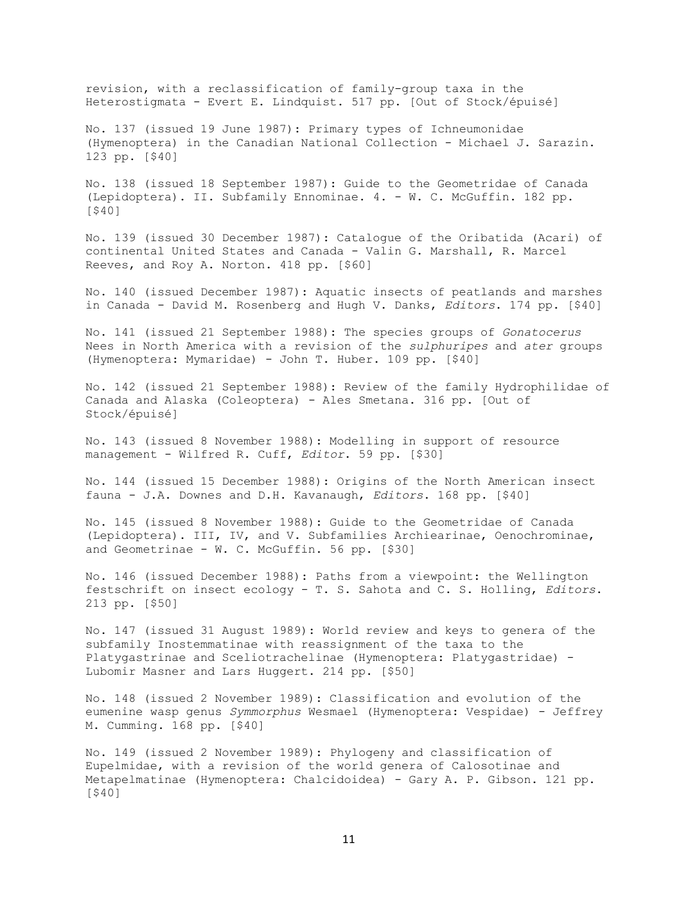revision, with a reclassification of family-group taxa in the Heterostigmata - Evert E. Lindquist. 517 pp. [Out of Stock/épuisé]

No. 137 (issued 19 June 1987): Primary types of Ichneumonidae (Hymenoptera) in the Canadian National Collection - Michael J. Sarazin. 123 pp. [\$40]

No. 138 (issued 18 September 1987): Guide to the Geometridae of Canada (Lepidoptera). II. Subfamily Ennominae. 4. - W. C. McGuffin. 182 pp. [\$40]

No. 139 (issued 30 December 1987): Catalogue of the Oribatida (Acari) of continental United States and Canada - Valin G. Marshall, R. Marcel Reeves, and Roy A. Norton. 418 pp. [\$60]

No. 140 (issued December 1987): Aquatic insects of peatlands and marshes in Canada - David M. Rosenberg and Hugh V. Danks, *Editors*. 174 pp. [\$40]

No. 141 (issued 21 September 1988): The species groups of *Gonatocerus* Nees in North America with a revision of the *sulphuripes* and *ater* groups (Hymenoptera: Mymaridae) - John T. Huber. 109 pp. [\$40]

No. 142 (issued 21 September 1988): Review of the family Hydrophilidae of Canada and Alaska (Coleoptera) - Ales Smetana. 316 pp. [Out of Stock/épuisé]

No. 143 (issued 8 November 1988): Modelling in support of resource management - Wilfred R. Cuff, *Editor*. 59 pp. [\$30]

No. 144 (issued 15 December 1988): Origins of the North American insect fauna - J.A. Downes and D.H. Kavanaugh, *Editors*. 168 pp. [\$40]

No. 145 (issued 8 November 1988): Guide to the Geometridae of Canada (Lepidoptera). III, IV, and V. Subfamilies Archiearinae, Oenochrominae, and Geometrinae - W. C. McGuffin. 56 pp. [\$30]

No. 146 (issued December 1988): Paths from a viewpoint: the Wellington festschrift on insect ecology - T. S. Sahota and C. S. Holling, *Editors*. 213 pp. [\$50]

No. 147 (issued 31 August 1989): World review and keys to genera of the subfamily Inostemmatinae with reassignment of the taxa to the Platygastrinae and Sceliotrachelinae (Hymenoptera: Platygastridae) - Lubomir Masner and Lars Huggert. 214 pp. [\$50]

No. 148 (issued 2 November 1989): Classification and evolution of the eumenine wasp genus *Symmorphus* Wesmael (Hymenoptera: Vespidae) - Jeffrey M. Cumming. 168 pp. [\$40]

No. 149 (issued 2 November 1989): Phylogeny and classification of Eupelmidae, with a revision of the world genera of Calosotinae and Metapelmatinae (Hymenoptera: Chalcidoidea) - Gary A. P. Gibson. 121 pp. [\$40]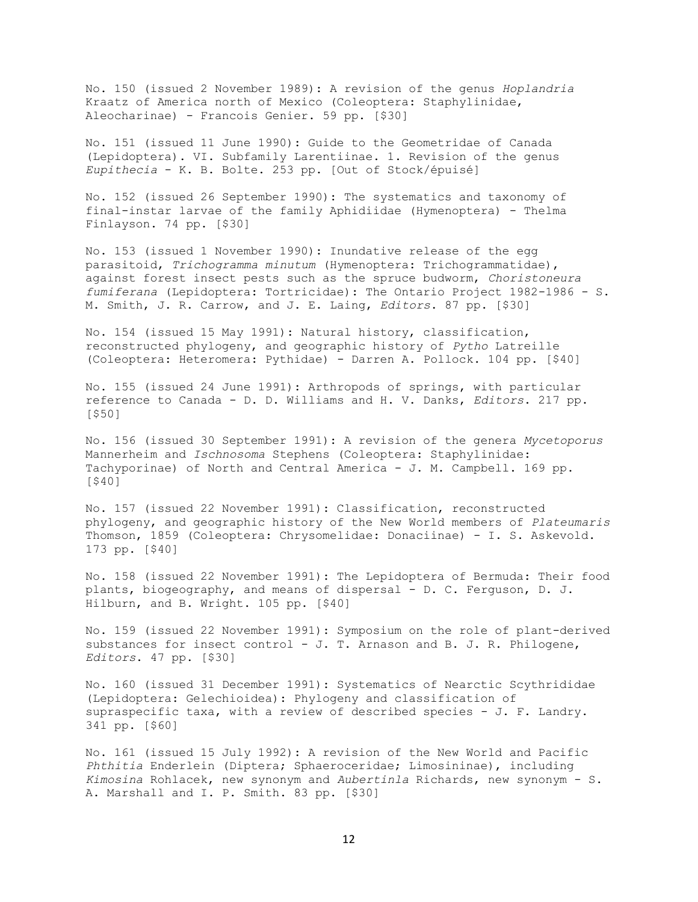No. 150 (issued 2 November 1989): A revision of the genus *Hoplandria* Kraatz of America north of Mexico (Coleoptera: Staphylinidae, Aleocharinae) - Francois Genier. 59 pp. [\$30]

No. 151 (issued 11 June 1990): Guide to the Geometridae of Canada (Lepidoptera). VI. Subfamily Larentiinae. 1. Revision of the genus *Eupithecia* - K. B. Bolte. 253 pp. [Out of Stock/épuisé]

No. 152 (issued 26 September 1990): The systematics and taxonomy of final-instar larvae of the family Aphidiidae (Hymenoptera) - Thelma Finlayson. 74 pp. [\$30]

No. 153 (issued 1 November 1990): Inundative release of the egg parasitoid, *Trichogramma minutum* (Hymenoptera: Trichogrammatidae), against forest insect pests such as the spruce budworm, *Choristoneura fumiferana* (Lepidoptera: Tortricidae): The Ontario Project 1982-1986 - S. M. Smith, J. R. Carrow, and J. E. Laing, *Editors*. 87 pp. [\$30]

No. 154 (issued 15 May 1991): Natural history, classification, reconstructed phylogeny, and geographic history of *Pytho* Latreille (Coleoptera: Heteromera: Pythidae) - Darren A. Pollock. 104 pp. [\$40]

No. 155 (issued 24 June 1991): Arthropods of springs, with particular reference to Canada - D. D. Williams and H. V. Danks, *Editors*. 217 pp. [\$50]

No. 156 (issued 30 September 1991): A revision of the genera *Mycetoporus* Mannerheim and *Ischnosoma* Stephens (Coleoptera: Staphylinidae: Tachyporinae) of North and Central America - J. M. Campbell. 169 pp. [\$40]

No. 157 (issued 22 November 1991): Classification, reconstructed phylogeny, and geographic history of the New World members of *Plateumaris* Thomson, 1859 (Coleoptera: Chrysomelidae: Donaciinae) - I. S. Askevold. 173 pp. [\$40]

No. 158 (issued 22 November 1991): The Lepidoptera of Bermuda: Their food plants, biogeography, and means of dispersal - D. C. Ferguson, D. J. Hilburn, and B. Wright. 105 pp. [\$40]

No. 159 (issued 22 November 1991): Symposium on the role of plant-derived substances for insect control - J. T. Arnason and B. J. R. Philogene, *Editors*. 47 pp. [\$30]

No. 160 (issued 31 December 1991): Systematics of Nearctic Scythrididae (Lepidoptera: Gelechioidea): Phylogeny and classification of supraspecific taxa, with a review of described species - J. F. Landry. 341 pp. [\$60]

No. 161 (issued 15 July 1992): A revision of the New World and Pacific *Phthitia* Enderlein (Diptera; Sphaeroceridae; Limosininae), including *Kimosina* Rohlacek, new synonym and *Aubertinla* Richards, new synonym - S. A. Marshall and I. P. Smith. 83 pp. [\$30]